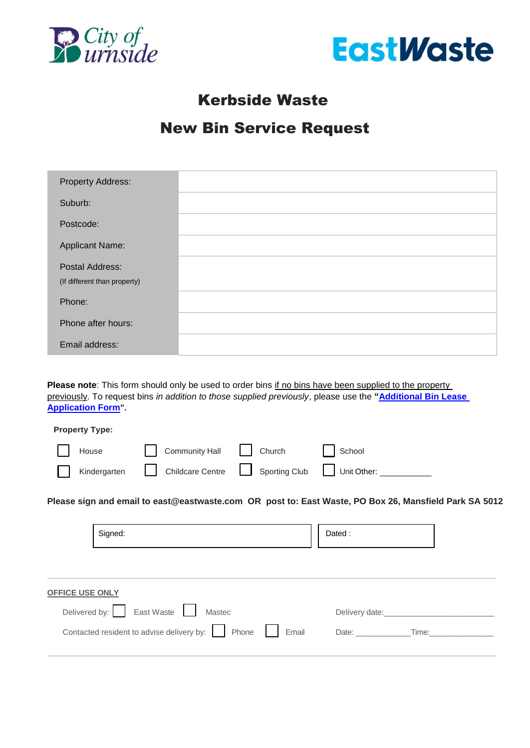



## Kerbside Waste

## New Bin Service Request

| <b>Property Address:</b>                        |  |
|-------------------------------------------------|--|
| Suburb:                                         |  |
| Postcode:                                       |  |
| <b>Applicant Name:</b>                          |  |
| Postal Address:<br>(If different than property) |  |
| Phone:                                          |  |
| Phone after hours:                              |  |
| Email address:                                  |  |

Please note: This form should only be used to order bins if no bins have been supplied to the property previously. To request bins *in addition to those supplied previously*, please use the **["Additional Bin Lease](https://www.eastwaste.com.au/wp-content/uploads/2022/06/Additional-Bin-Request-Form-2022-23-COB.pdf)  [Application Form](https://www.eastwaste.com.au/additional-bin-request-form-2022-23-cob-website-fillable/)".**

| <b>Property Type:</b> |                                                         |        |
|-----------------------|---------------------------------------------------------|--------|
| House <b>No. 1998</b> | Community Hall   Church                                 | School |
|                       | Kindergarten Childcare Centre Sporting Club Unit Other: |        |

**Please sign and email to [east@eastwaste.com](mailto:east@eastwaste.com) OR post to: East Waste, PO Box 26, Mansfield Park SA 5012** 

|                        | Signed:                                                  |  | Dated:         |  |
|------------------------|----------------------------------------------------------|--|----------------|--|
| <b>OFFICE USE ONLY</b> | Delivered by: East Waste<br>Mastec                       |  | Delivery date: |  |
|                        | Contacted resident to advise delivery by: Phone<br>Email |  | Date:<br>Time: |  |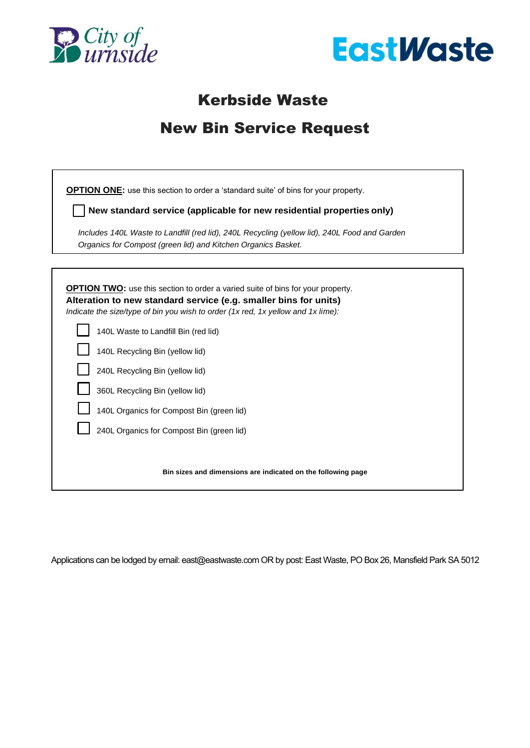



## Kerbside Waste

## New Bin Service Request

**OPTION ONE:** use this section to order a 'standard suite' of bins for your property.

**New standard service (applicable for new residential properties only)**

*Includes 140L Waste to Landfill (red lid), 240L Recycling (yellow lid), 240L Food and Garden Organics for Compost (green lid) and Kitchen Organics Basket.*

**OPTION TWO:** use this section to order a varied suite of bins for your property. **Alteration to new standard service (e.g. smaller bins for units)** *Indicate the size/type of bin you wish to order (1x red, 1x yellow and 1x lime):* 140L Waste to Landfill Bin (red lid) 140L Recycling Bin (yellow lid) 240L Recycling Bin (yellow lid) 360L Recycling Bin (yellow lid) 140L Organics for Compost Bin (green lid) 240L Organics for Compost Bin (green lid) **Bin sizes and dimensions are indicated on the following page**

Applications can be lodged by email: east@eastwaste.com OR by post: East Waste, PO Box 26, Mansfield Park SA 5012